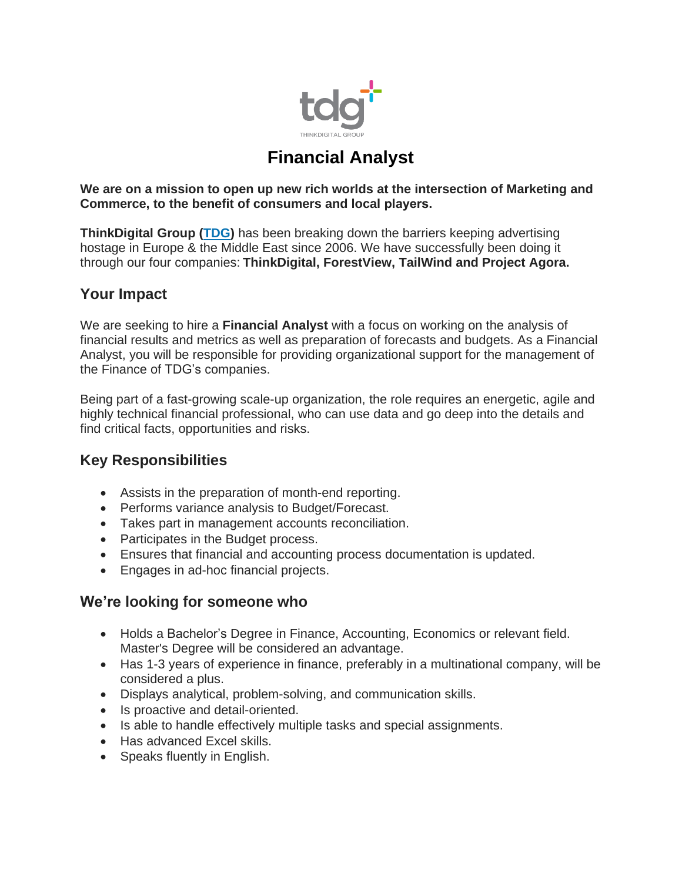

# **Financial Analyst**

**We are on a mission to open up new rich worlds at the intersection of Marketing and Commerce, to the benefit of consumers and local players.**

**ThinkDigital Group [\(TDG\)](https://thinkdigitalgroup.net/)** has been breaking down the barriers keeping advertising hostage in Europe & the Middle East since 2006. We have successfully been doing it through our four companies: **ThinkDigital, ForestView, TailWind and Project Agora.**

#### **Your Impact**

We are seeking to hire a **Financial Analyst** with a focus on working on the analysis of financial results and metrics as well as preparation of forecasts and budgets. As a Financial Analyst, you will be responsible for providing organizational support for the management of the Finance of TDG's companies.

Being part of a fast-growing scale-up organization, the role requires an energetic, agile and highly technical financial professional, who can use data and go deep into the details and find critical facts, opportunities and risks.

#### **Key Responsibilities**

- Assists in the preparation of month-end reporting.
- Performs variance analysis to Budget/Forecast.
- Takes part in management accounts reconciliation.
- Participates in the Budget process.
- Ensures that financial and accounting process documentation is updated.
- Engages in ad-hoc financial projects.

### **We're looking for someone who**

- Holds a Bachelor's Degree in Finance, Accounting, Economics or relevant field. Master's Degree will be considered an advantage.
- Has 1-3 years of experience in finance, preferably in a multinational company, will be considered a plus.
- Displays analytical, problem-solving, and communication skills.
- Is proactive and detail-oriented.
- Is able to handle effectively multiple tasks and special assignments.
- Has advanced Excel skills.
- Speaks fluently in English.